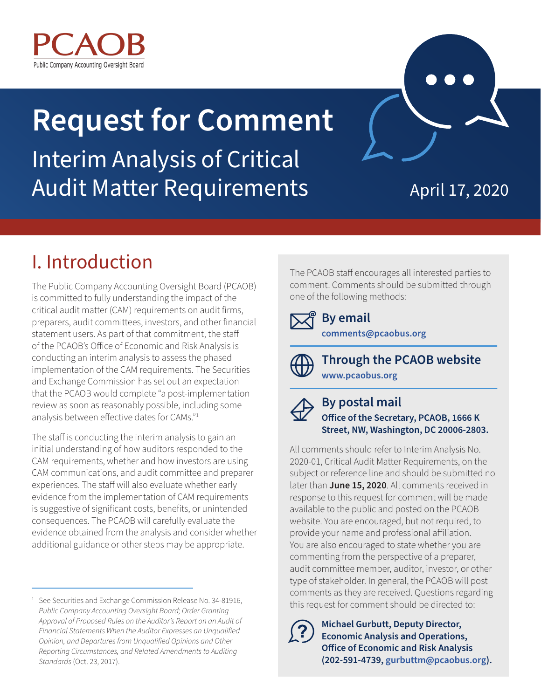

# **Request for Comment** Interim Analysis of Critical Audit Matter Requirements

April 17, 2020

# I. Introduction

The Public Company Accounting Oversight Board (PCAOB) is committed to fully understanding the impact of the critical audit matter (CAM) requirements on audit firms, preparers, audit committees, investors, and other financial statement users. As part of that commitment, the staff of the PCAOB's Office of Economic and Risk Analysis is conducting an interim analysis to assess the phased implementation of the CAM requirements. The Securities and Exchange Commission has set out an expectation that the PCAOB would complete "a post-implementation review as soon as reasonably possible, including some analysis between effective dates for CAMs."1

The staff is conducting the interim analysis to gain an initial understanding of how auditors responded to the CAM requirements, whether and how investors are using CAM communications, and audit committee and preparer experiences. The staff will also evaluate whether early evidence from the implementation of CAM requirements is suggestive of significant costs, benefits, or unintended consequences. The PCAOB will carefully evaluate the evidence obtained from the analysis and consider whether additional guidance or other steps may be appropriate.

The PCAOB staff encourages all interested parties to comment. Comments should be submitted through one of the following methods:

### **By email [comments@pcaobus.org](mailto:comments@pcaobus.org)**



**Through the PCAOB website [www.pcaobus.org](http://www.pcaobus.org)**

### **By postal mail Office of the Secretary, PCAOB, 1666 K Street, NW, Washington, DC 20006-2803.**

All comments should refer to Interim Analysis No. 2020-01, Critical Audit Matter Requirements, on the subject or reference line and should be submitted no later than **June 15, 2020**. All comments received in response to this request for comment will be made available to the public and posted on the PCAOB website. You are encouraged, but not required, to provide your name and professional affiliation. You are also encouraged to state whether you are commenting from the perspective of a preparer, audit committee member, auditor, investor, or other type of stakeholder. In general, the PCAOB will post comments as they are received. Questions regarding this request for comment should be directed to:



**Michael Gurbutt, Deputy Director, Economic Analysis and Operations, Office of Economic and Risk Analysis (202-591-4739, [gurbuttm@pcaobus.org](mailto:gurbuttm@pcaobus.org)).**

<sup>&</sup>lt;sup>1</sup> See Securities and Exchange Commission Release No. 34-81916, *Public Company Accounting Oversight Board; Order Granting Approval of Proposed Rules on the Auditor's Report on an Audit of Financial Statements When the Auditor Expresses an Unqualified Opinion, and Departures from Unqualified Opinions and Other Reporting Circumstances, and Related Amendments to Auditing Standards* (Oct. 23, 2017).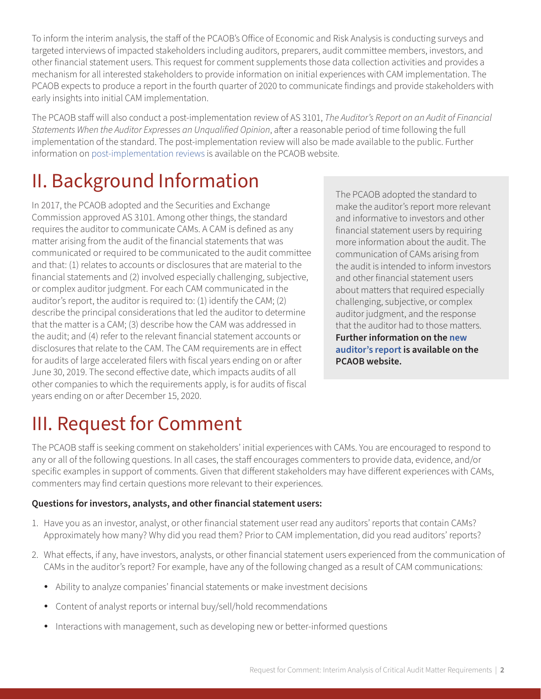To inform the interim analysis, the staff of the PCAOB's Office of Economic and Risk Analysis is conducting surveys and targeted interviews of impacted stakeholders including auditors, preparers, audit committee members, investors, and other financial statement users. This request for comment supplements those data collection activities and provides a mechanism for all interested stakeholders to provide information on initial experiences with CAM implementation. The PCAOB expects to produce a report in the fourth quarter of 2020 to communicate findings and provide stakeholders with early insights into initial CAM implementation.

The PCAOB staff will also conduct a post-implementation review of AS 3101, *The Auditor's Report on an Audit of Financial Statements When the Auditor Expresses an Unqualified Opinion*, after a reasonable period of time following the full implementation of the standard. The post-implementation review will also be made available to the public. Further information on [post-implementation reviews](https://pcaobus.org/EconomicAndRiskAnalysis/pir/Pages/default.aspx) is available on the PCAOB website.

# II. Background Information

In 2017, the PCAOB adopted and the Securities and Exchange Commission approved AS 3101. Among other things, the standard requires the auditor to communicate CAMs. A CAM is defined as any matter arising from the audit of the financial statements that was communicated or required to be communicated to the audit committee and that: (1) relates to accounts or disclosures that are material to the financial statements and (2) involved especially challenging, subjective, or complex auditor judgment. For each CAM communicated in the auditor's report, the auditor is required to: (1) identify the CAM; (2) describe the principal considerations that led the auditor to determine that the matter is a CAM; (3) describe how the CAM was addressed in the audit; and (4) refer to the relevant financial statement accounts or disclosures that relate to the CAM. The CAM requirements are in effect for audits of large accelerated filers with fiscal years ending on or after June 30, 2019. The second effective date, which impacts audits of all other companies to which the requirements apply, is for audits of fiscal years ending on or after December 15, 2020.

The PCAOB adopted the standard to make the auditor's report more relevant and informative to investors and other financial statement users by requiring more information about the audit. The communication of CAMs arising from the audit is intended to inform investors and other financial statement users about matters that required especially challenging, subjective, or complex auditor judgment, and the response that the auditor had to those matters. **Further information on the [new](https://pcaobus.org/Standards/Implementation-PCAOB-Standards-rules/Pages/new-auditors-report.aspx)  [auditor's report](https://pcaobus.org/Standards/Implementation-PCAOB-Standards-rules/Pages/new-auditors-report.aspx) is available on the PCAOB website.**

# III. Request for Comment

The PCAOB staff is seeking comment on stakeholders' initial experiences with CAMs. You are encouraged to respond to any or all of the following questions. In all cases, the staff encourages commenters to provide data, evidence, and/or specific examples in support of comments. Given that different stakeholders may have different experiences with CAMs, commenters may find certain questions more relevant to their experiences.

### **Questions for investors, analysts, and other financial statement users:**

- 1. Have you as an investor, analyst, or other financial statement user read any auditors' reports that contain CAMs? Approximately how many? Why did you read them? Prior to CAM implementation, did you read auditors' reports?
- 2. What effects, if any, have investors, analysts, or other financial statement users experienced from the communication of CAMs in the auditor's report? For example, have any of the following changed as a result of CAM communications:
	- Ability to analyze companies' financial statements or make investment decisions
	- Content of analyst reports or internal buy/sell/hold recommendations
	- Interactions with management, such as developing new or better-informed questions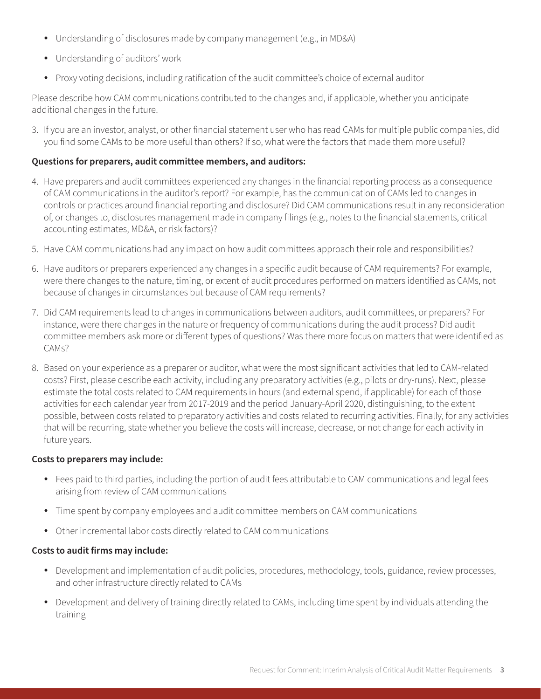- Understanding of disclosures made by company management (e.g., in MD&A)
- Understanding of auditors' work
- Proxy voting decisions, including ratification of the audit committee's choice of external auditor

Please describe how CAM communications contributed to the changes and, if applicable, whether you anticipate additional changes in the future.

3. If you are an investor, analyst, or other financial statement user who has read CAMs for multiple public companies, did you find some CAMs to be more useful than others? If so, what were the factors that made them more useful?

#### **Questions for preparers, audit committee members, and auditors:**

- 4. Have preparers and audit committees experienced any changes in the financial reporting process as a consequence of CAM communications in the auditor's report? For example, has the communication of CAMs led to changes in controls or practices around financial reporting and disclosure? Did CAM communications result in any reconsideration of, or changes to, disclosures management made in company filings (e.g., notes to the financial statements, critical accounting estimates, MD&A, or risk factors)?
- 5. Have CAM communications had any impact on how audit committees approach their role and responsibilities?
- 6. Have auditors or preparers experienced any changes in a specific audit because of CAM requirements? For example, were there changes to the nature, timing, or extent of audit procedures performed on matters identified as CAMs, not because of changes in circumstances but because of CAM requirements?
- 7. Did CAM requirements lead to changes in communications between auditors, audit committees, or preparers? For instance, were there changes in the nature or frequency of communications during the audit process? Did audit committee members ask more or different types of questions? Was there more focus on matters that were identified as CAMs?
- 8. Based on your experience as a preparer or auditor, what were the most significant activities that led to CAM-related costs? First, please describe each activity, including any preparatory activities (e.g., pilots or dry-runs). Next, please estimate the total costs related to CAM requirements in hours (and external spend, if applicable) for each of those activities for each calendar year from 2017-2019 and the period January-April 2020, distinguishing, to the extent possible, between costs related to preparatory activities and costs related to recurring activities. Finally, for any activities that will be recurring, state whether you believe the costs will increase, decrease, or not change for each activity in future years.

#### **Costs to preparers may include:**

- Fees paid to third parties, including the portion of audit fees attributable to CAM communications and legal fees arising from review of CAM communications
- Time spent by company employees and audit committee members on CAM communications
- Other incremental labor costs directly related to CAM communications

#### **Costs to audit firms may include:**

- Development and implementation of audit policies, procedures, methodology, tools, guidance, review processes, and other infrastructure directly related to CAMs
- Development and delivery of training directly related to CAMs, including time spent by individuals attending the training